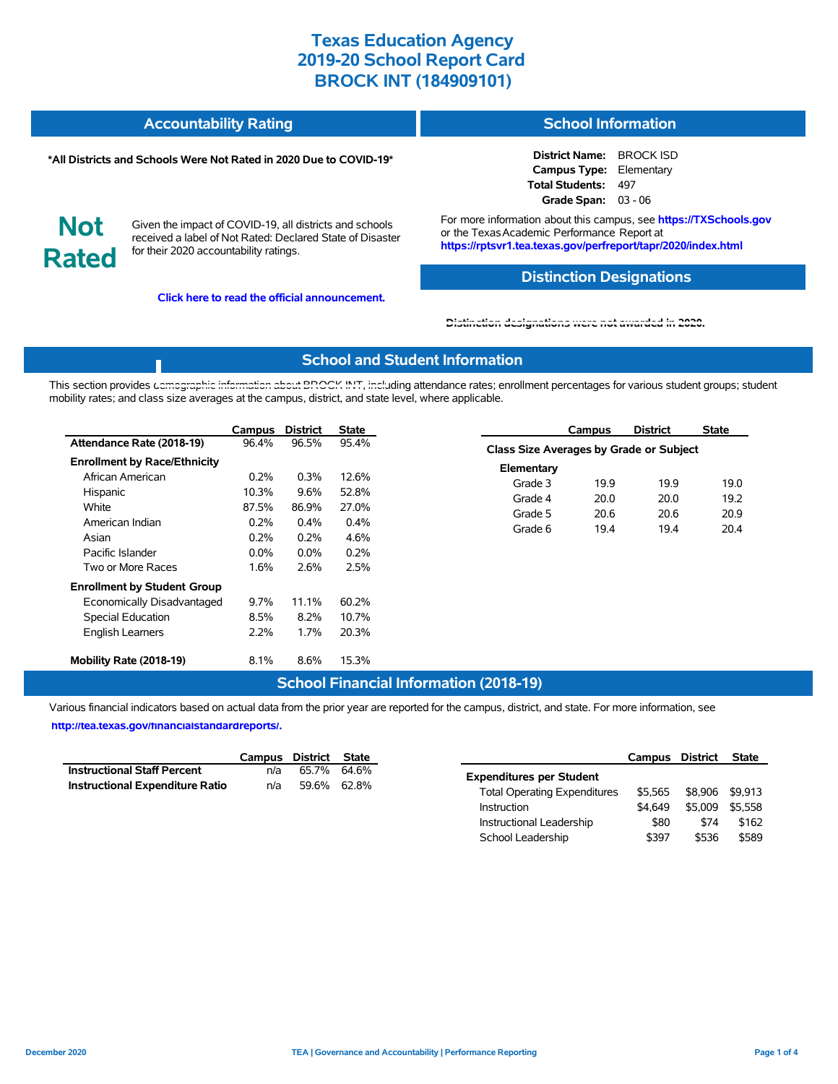| <b>Accountability Rating</b> | <b>School Information</b> |
|------------------------------|---------------------------|
|                              |                           |

#### **\*All Districts and Schools Were Not Rated in 2020 Due to COVID-19\***

**District Name:** BROCK ISD **Campus Type:** Elementary **Total Students:** 497 **Grade Span:** 03 - 06

**Not Rated**

Given the impact of COVID-19, all districts and schools received a label of Not Rated: Declared State of Disaster for their 2020 accountability ratings.

**Click here to read the official announcement.**

For more information about this campus, see **https://TXSchools.gov** or the Texas Academic Performance Report at **https://rptsvr1.tea.texas.gov/perfreport/tapr/2020/index.html**

### **Distinction Designations**

Instructional Leadership  $$80$  \$74 \$162 School Leadership  $$397$  \$536 \$589

#### **[Distinction designations were not awarded in 2020.](https://rptsvr1.tea.texas.gov/perfreport/tapr/2020/index.html)**

### **School and Student Information**

This section provides [demographic information about BROCK INT, inclu](https://tea.texas.gov/about-tea/news-and-multimedia/correspondence/taa-letters/every-student-succeeds-act-essa-waiver-approval-2020-state-academic-accountability)ding attendance rates; enrollment percentages for various student groups; student mobility rates; and class size averages at the campus, district, and state level, where applicable.

|                                                                                                                  | Campus                  | <b>District</b>         | <b>State</b>            |                       | Campus                                         | <b>District</b> | <b>State</b> |  |  |
|------------------------------------------------------------------------------------------------------------------|-------------------------|-------------------------|-------------------------|-----------------------|------------------------------------------------|-----------------|--------------|--|--|
| Attendance Rate (2018-19)                                                                                        | 96.4%                   | 96.5%                   | 95.4%                   |                       | <b>Class Size Averages by Grade or Subject</b> |                 |              |  |  |
| <b>Enrollment by Race/Ethnicity</b><br>African American                                                          | $0.2\%$                 | 0.3%                    | 12.6%                   | Elementary<br>Grade 3 | 19.9                                           | 19.9            | 19.0         |  |  |
| Hispanic<br>White<br>American Indian                                                                             | 10.3%<br>87.5%<br>0.2%  | 9.6%<br>86.9%<br>0.4%   | 52.8%<br>27.0%<br>0.4%  | Grade 4<br>Grade 5    | 20.0<br>20.6                                   | 20.0<br>20.6    | 19.2<br>20.9 |  |  |
| Asian<br>Pacific Islander<br>Two or More Races                                                                   | 0.2%<br>$0.0\%$<br>1.6% | 0.2%<br>$0.0\%$<br>2.6% | 4.6%<br>0.2%<br>2.5%    | Grade 6               | 19.4                                           | 19.4            | 20.4         |  |  |
| <b>Enrollment by Student Group</b><br>Economically Disadvantaged<br>Special Education<br><b>English Learners</b> | $9.7\%$<br>8.5%<br>2.2% | 11.1%<br>8.2%<br>1.7%   | 60.2%<br>10.7%<br>20.3% |                       |                                                |                 |              |  |  |
| Mobility Rate (2018-19)                                                                                          | 8.1%                    | 8.6%                    | 15.3%                   |                       |                                                |                 |              |  |  |

### **School Financial Information (2018-19)**

Various financial indicators based on actual data from the prior year are reported for the campus, district, and state. For more information, see

**[http://tea.texas.gov/financialstandardreports/.](http://tea.texas.gov/financialstandardreports/)**

|                                        |     | Campus District State | Campus District                                |                 | State |
|----------------------------------------|-----|-----------------------|------------------------------------------------|-----------------|-------|
| <b>Instructional Staff Percent</b>     | n/a | 65.7% 64.6%           | <b>Expenditures per Student</b>                |                 |       |
| <b>Instructional Expenditure Ratio</b> | n/a | 59.6% 62.8%           | \$5.565<br><b>Total Operating Expenditures</b> | \$8,906 \$9,913 |       |
|                                        |     |                       | \$4.649<br>Instruction                         | \$5,009 \$5,558 |       |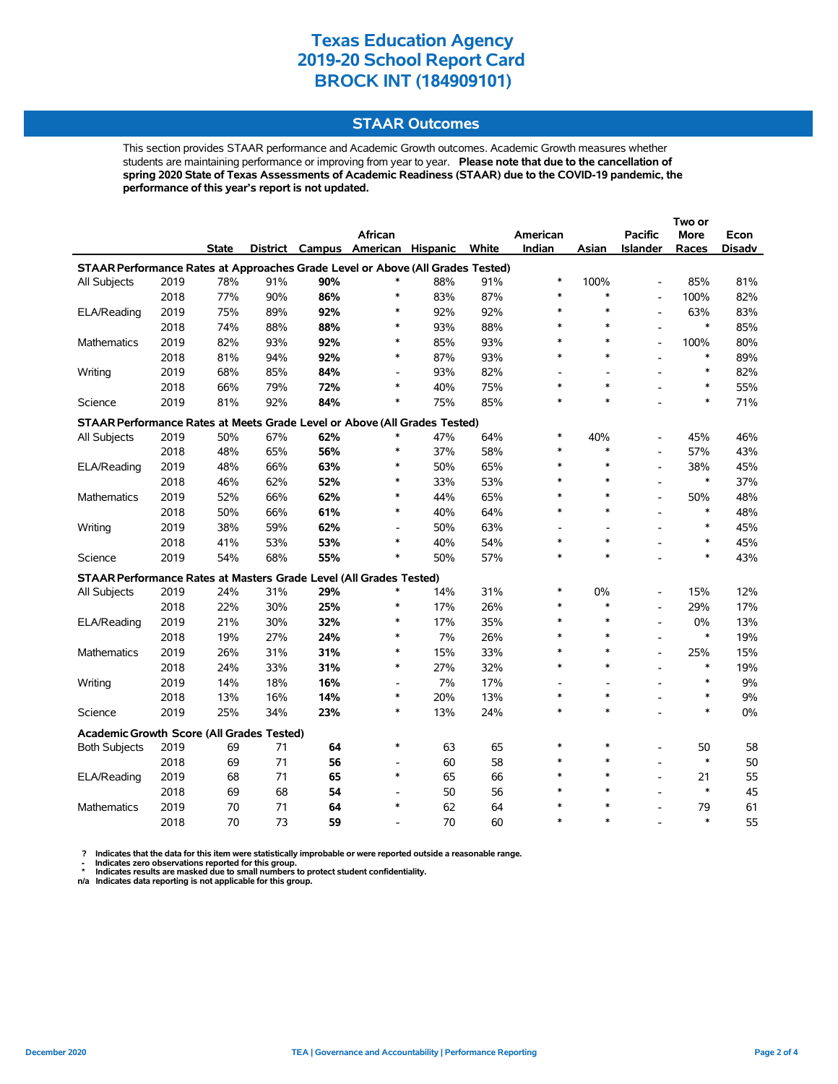### **STAAR Outcomes**

This section provides STAAR performance and Academic Growth outcomes. Academic Growth measures whether students are maintaining performance or improving from year to year. **Please note that due to the cancellation of spring 2020 State of Texas Assessments of Academic Readiness (STAAR) due to the COVID-19 pandemic, the performance of this year's report is not updated.**

|                                                                                |      |              |          |     | African                  |     |       | American |         | <b>Pacific</b>           | More   | Econ          |  |
|--------------------------------------------------------------------------------|------|--------------|----------|-----|--------------------------|-----|-------|----------|---------|--------------------------|--------|---------------|--|
|                                                                                |      | <b>State</b> | District |     | Campus American Hispanic |     | White | Indian   | Asian   | <b>Islander</b>          | Races  | <b>Disadv</b> |  |
| STAAR Performance Rates at Approaches Grade Level or Above (All Grades Tested) |      |              |          |     |                          |     |       |          |         |                          |        |               |  |
| All Subjects                                                                   | 2019 | 78%          | 91%      | 90% | ∗                        | 88% | 91%   | *        | 100%    | $\overline{a}$           | 85%    | 81%           |  |
|                                                                                | 2018 | 77%          | 90%      | 86% | $\ast$                   | 83% | 87%   | $\ast$   | $\ast$  | $\overline{a}$           | 100%   | 82%           |  |
| ELA/Reading                                                                    | 2019 | 75%          | 89%      | 92% | $\ast$                   | 92% | 92%   | $\ast$   | $\ast$  | $\overline{a}$           | 63%    | 83%           |  |
|                                                                                | 2018 | 74%          | 88%      | 88% | $\ast$                   | 93% | 88%   | $\ast$   | $\ast$  | $\overline{a}$           | $\ast$ | 85%           |  |
| Mathematics                                                                    | 2019 | 82%          | 93%      | 92% | $\ast$                   | 85% | 93%   | $\ast$   | $\ast$  | $\overline{a}$           | 100%   | 80%           |  |
|                                                                                | 2018 | 81%          | 94%      | 92% | $\ast$                   | 87% | 93%   | $\ast$   | $\ast$  |                          | $\ast$ | 89%           |  |
| Writing                                                                        | 2019 | 68%          | 85%      | 84% | $\overline{\phantom{a}}$ | 93% | 82%   |          |         |                          | $\ast$ | 82%           |  |
|                                                                                | 2018 | 66%          | 79%      | 72% | $\ast$                   | 40% | 75%   | $\ast$   | $\ast$  |                          | $\ast$ | 55%           |  |
| Science                                                                        | 2019 | 81%          | 92%      | 84% | $\ast$                   | 75% | 85%   | $\ast$   | $\ast$  |                          | $\ast$ | 71%           |  |
| STAAR Performance Rates at Meets Grade Level or Above (All Grades Tested)      |      |              |          |     |                          |     |       |          |         |                          |        |               |  |
| All Subjects                                                                   | 2019 | 50%          | 67%      | 62% |                          | 47% | 64%   | $\ast$   | 40%     | $\overline{a}$           | 45%    | 46%           |  |
|                                                                                | 2018 | 48%          | 65%      | 56% | $\ast$                   | 37% | 58%   | $\ast$   | $\ast$  |                          | 57%    | 43%           |  |
| ELA/Reading                                                                    | 2019 | 48%          | 66%      | 63% | $\ast$                   | 50% | 65%   | $\ast$   | $\ast$  | $\overline{a}$           | 38%    | 45%           |  |
|                                                                                | 2018 | 46%          | 62%      | 52% | $\ast$                   | 33% | 53%   | $\ast$   | $\ast$  | L,                       | $\ast$ | 37%           |  |
| <b>Mathematics</b>                                                             | 2019 | 52%          | 66%      | 62% | $\ast$                   | 44% | 65%   | $\ast$   | $\ast$  | $\overline{a}$           | 50%    | 48%           |  |
|                                                                                | 2018 | 50%          | 66%      | 61% | $\ast$                   | 40% | 64%   | $\ast$   | $\ast$  | $\overline{a}$           | $\ast$ | 48%           |  |
| Writing                                                                        | 2019 | 38%          | 59%      | 62% | $\overline{\phantom{a}}$ | 50% | 63%   |          |         |                          | $\ast$ | 45%           |  |
|                                                                                | 2018 | 41%          | 53%      | 53% | $\ast$                   | 40% | 54%   | $\ast$   | *       | $\overline{a}$           | $\ast$ | 45%           |  |
| Science                                                                        | 2019 | 54%          | 68%      | 55% | $\ast$                   | 50% | 57%   | $\ast$   | $\ast$  | L,                       | $\ast$ | 43%           |  |
| STAAR Performance Rates at Masters Grade Level (All Grades Tested)             |      |              |          |     |                          |     |       |          |         |                          |        |               |  |
| All Subjects                                                                   | 2019 | 24%          | 31%      | 29% | $\ast$                   | 14% | 31%   | ∗        | 0%      | $\overline{a}$           | 15%    | 12%           |  |
|                                                                                | 2018 | 22%          | 30%      | 25% | $\ast$                   | 17% | 26%   | $\ast$   | $\ast$  | $\overline{\phantom{a}}$ | 29%    | 17%           |  |
| ELA/Reading                                                                    | 2019 | 21%          | 30%      | 32% | $\ast$                   | 17% | 35%   | $\ast$   | $\ast$  | L,                       | 0%     | 13%           |  |
|                                                                                | 2018 | 19%          | 27%      | 24% | $\ast$                   | 7%  | 26%   | $\ast$   | $\ast$  | $\overline{a}$           | $\ast$ | 19%           |  |
| Mathematics                                                                    | 2019 | 26%          | 31%      | 31% | $\ast$                   | 15% | 33%   | $\ast$   | $\ast$  | $\overline{a}$           | 25%    | 15%           |  |
|                                                                                | 2018 | 24%          | 33%      | 31% | $\ast$                   | 27% | 32%   | $\ast$   | $\ast$  |                          | $\ast$ | 19%           |  |
| Writing                                                                        | 2019 | 14%          | 18%      | 16% | $\overline{a}$           | 7%  | 17%   |          |         |                          | $\ast$ | 9%            |  |
|                                                                                | 2018 | 13%          | 16%      | 14% | $\ast$                   | 20% | 13%   | $\ast$   | $\ast$  |                          | $\ast$ | 9%            |  |
| Science                                                                        | 2019 | 25%          | 34%      | 23% | $\ast$                   | 13% | 24%   | $\ast$   | $\ast$  |                          | $\ast$ | 0%            |  |
| Academic Growth Score (All Grades Tested)                                      |      |              |          |     |                          |     |       |          |         |                          |        |               |  |
| <b>Both Subjects</b>                                                           | 2019 | 69           | 71       | 64  | $\ast$                   | 63  | 65    | $\ast$   | $\ast$  | $\overline{a}$           | 50     | 58            |  |
|                                                                                | 2018 | 69           | 71       | 56  | $\overline{a}$           | 60  | 58    | $\ast$   | $\ast$  | L,                       | $\ast$ | 50            |  |
| ELA/Reading                                                                    | 2019 | 68           | 71       | 65  | $\ast$                   | 65  | 66    | $\ast$   | $\ast$  | $\overline{a}$           | 21     | 55            |  |
|                                                                                | 2018 | 69           | 68       | 54  | $\blacksquare$           | 50  | 56    | $\ast$   | $\star$ | $\overline{\phantom{a}}$ | $\ast$ | 45            |  |
| Mathematics                                                                    | 2019 | 70           | 71       | 64  | $\ast$                   | 62  | 64    | $\ast$   | $\ast$  |                          | 79     | 61            |  |
|                                                                                | 2018 | 70           | 73       | 59  |                          | 70  | 60    | $\ast$   | $\ast$  |                          | $\ast$ | 55            |  |

 **? Indicates that the data for this item were statistically improbable or were reported outside a reasonable range.**

 **- Indicates zero observations reported for this group. \* Indicates results are masked due to small numbers to protect student confidentiality.**

**n/a Indicates data reporting is not applicable for this group.**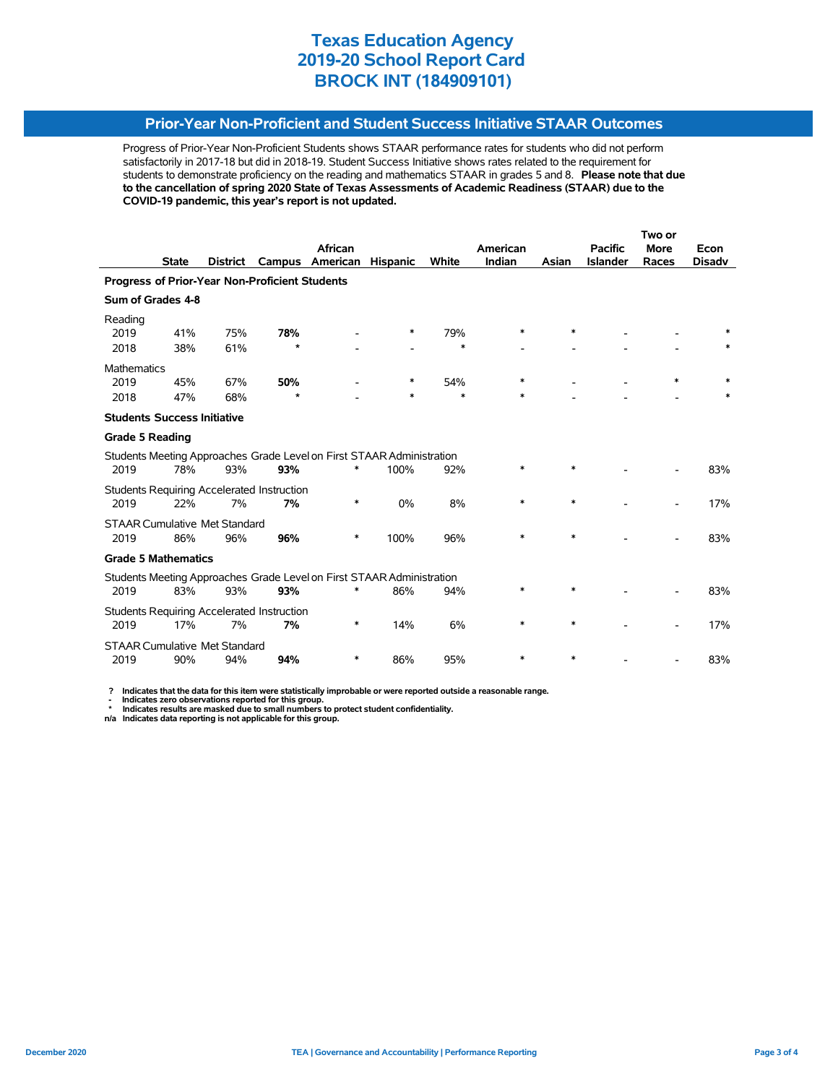### **Prior-Year Non-Proficient and Student Success Initiative STAAR Outcomes**

Progress of Prior-Year Non-Proficient Students shows STAAR performance rates for students who did not perform satisfactorily in 2017-18 but did in 2018-19. Student Success Initiative shows rates related to the requirement for students to demonstrate proficiency on the reading and mathematics STAAR in grades 5 and 8. **Please note that due to the cancellation of spring 2020 State of Texas Assessments of Academic Readiness (STAAR) due to the COVID-19 pandemic, this year's report is not updated.**

|                                                                       |              |                 |                                                   |                                                                       |                 |              | Two or   |        |                 |             |               |
|-----------------------------------------------------------------------|--------------|-----------------|---------------------------------------------------|-----------------------------------------------------------------------|-----------------|--------------|----------|--------|-----------------|-------------|---------------|
|                                                                       |              |                 |                                                   | African                                                               |                 |              | American |        | <b>Pacific</b>  | <b>More</b> | Econ          |
|                                                                       | <b>State</b> | <b>District</b> | Campus                                            | American                                                              | <b>Hispanic</b> | <b>White</b> | Indian   | Asian  | <b>Islander</b> | Races       | <b>Disadv</b> |
|                                                                       |              |                 | Progress of Prior-Year Non-Proficient Students    |                                                                       |                 |              |          |        |                 |             |               |
| Sum of Grades 4-8                                                     |              |                 |                                                   |                                                                       |                 |              |          |        |                 |             |               |
| Reading<br>2019                                                       | 41%          | 75%             | 78%                                               |                                                                       | ∗               | 79%          | *        | $\ast$ |                 |             |               |
| 2018                                                                  | 38%          | 61%             | $\star$                                           |                                                                       |                 | $\ast$       |          |        |                 |             |               |
| Mathematics                                                           |              |                 |                                                   |                                                                       |                 |              |          |        |                 |             |               |
| 2019                                                                  | 45%          | 67%             | 50%                                               |                                                                       | *               | 54%          | *        |        |                 | *           |               |
| 2018                                                                  | 47%          | 68%             | $\star$                                           |                                                                       | *               | $\ast$       | *        |        |                 |             |               |
| <b>Students Success Initiative</b>                                    |              |                 |                                                   |                                                                       |                 |              |          |        |                 |             |               |
| <b>Grade 5 Reading</b>                                                |              |                 |                                                   |                                                                       |                 |              |          |        |                 |             |               |
|                                                                       |              |                 |                                                   | Students Meeting Approaches Grade Level on First STAAR Administration |                 |              |          |        |                 |             |               |
| 2019                                                                  | 78%          | 93%             | 93%                                               | *                                                                     | 100%            | 92%          | *        | $\ast$ |                 |             | 83%           |
|                                                                       |              |                 | Students Requiring Accelerated Instruction        |                                                                       |                 |              |          |        |                 |             |               |
| 2019                                                                  | 22%          | 7%              | 7%                                                | *                                                                     | 0%              | 8%           | $\ast$   | $\ast$ |                 |             | 17%           |
| <b>STAAR Cumulative Met Standard</b>                                  |              |                 |                                                   |                                                                       |                 |              |          |        |                 |             |               |
| 2019                                                                  | 86%          | 96%             | 96%                                               | *                                                                     | 100%            | 96%          | $\ast$   | $\ast$ |                 |             | 83%           |
| <b>Grade 5 Mathematics</b>                                            |              |                 |                                                   |                                                                       |                 |              |          |        |                 |             |               |
| Students Meeting Approaches Grade Level on First STAAR Administration |              |                 |                                                   |                                                                       |                 |              |          |        |                 |             |               |
| 2019                                                                  | 83%          | 93%             | 93%                                               |                                                                       | 86%             | 94%          | *        | *      |                 |             | 83%           |
|                                                                       |              |                 | <b>Students Requiring Accelerated Instruction</b> |                                                                       |                 |              |          |        |                 |             |               |
| 2019                                                                  | 17%          | 7%              | 7%                                                | ∗                                                                     | 14%             | 6%           | *        | $\ast$ |                 |             | 17%           |
| <b>STAAR Cumulative Met Standard</b>                                  |              |                 |                                                   |                                                                       |                 |              |          |        |                 |             |               |
| 2019                                                                  | 90%          | 94%             | 94%                                               | *                                                                     | 86%             | 95%          | $\ast$   | $\ast$ |                 |             | 83%           |

 **? Indicates that the data for this item were statistically improbable or were reported outside a reasonable range.**

 **- Indicates zero observations reported for this group. \* Indicates results are masked due to small numbers to protect student confidentiality.**

**n/a Indicates data reporting is not applicable for this group.**